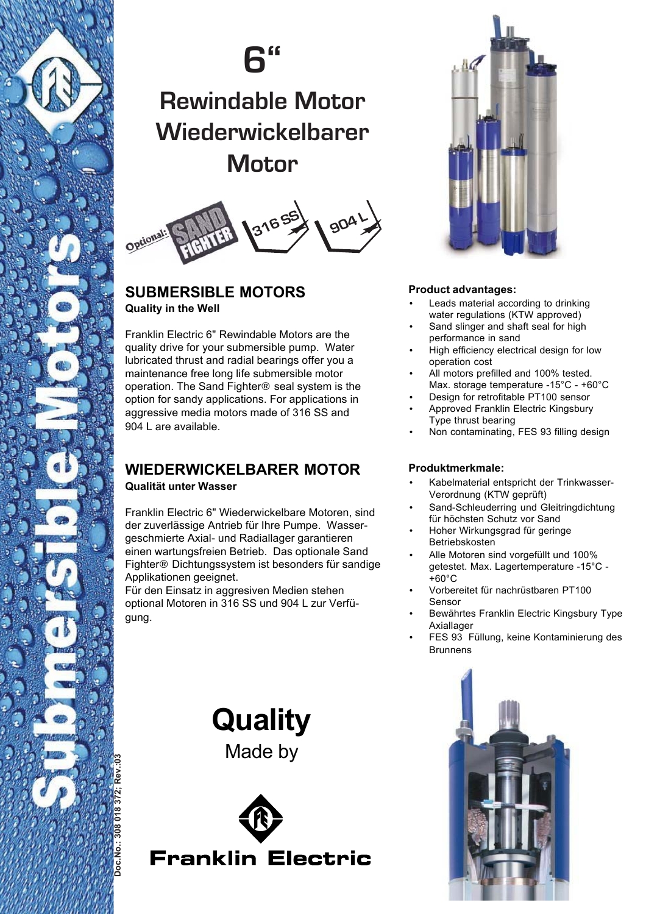

# **6"**

## **Rewindable Motor Wiederwickelbarer Motor**



### **SUBMERSIBLE MOTORS Quality in the Well**

Franklin Electric 6" Rewindable Motors are the quality drive for your submersible pump. Water lubricated thrust and radial bearings offer you a maintenance free long life submersible motor operation. The Sand Fighter® seal system is the option for sandy applications. For applications in aggressive media motors made of 316 SS and 904 L are available.

### **WIEDERWICKELBARER MOTOR Qualität unter Wasser**

Franklin Electric 6" Wiederwickelbare Motoren, sind der zuverlässige Antrieb für Ihre Pumpe. Wassergeschmierte Axial- und Radiallager garantieren einen wartungsfreien Betrieb. Das optionale Sand Fighter® Dichtungssystem ist besonders für sandige Applikationen geeignet.

Für den Einsatz in aggresiven Medien stehen optional Motoren in 316 SS und 904 L zur Verfügung.

> **Quality** Made by





### **Product advantages:**

- Leads material according to drinking water regulations (KTW approved)
- Sand slinger and shaft seal for high performance in sand
- High efficiency electrical design for low operation cost
- All motors prefilled and 100% tested. Max. storage temperature -15°C - +60°C
- Design for retrofitable PT100 sensor • Approved Franklin Electric Kingsbury
- Type thrust bearing
- Non contaminating, FES 93 filling design

### **Produktmerkmale:**

- Kabelmaterial entspricht der Trinkwasser-Verordnung (KTW geprüft)
- Sand-Schleuderring und Gleitringdichtung für höchsten Schutz vor Sand
- Hoher Wirkungsgrad für geringe Betriebskosten
- Alle Motoren sind vorgefüllt und 100% getestet. Max. Lagertemperature -15°C -  $+60^{\circ}$ C
- Vorbereitet für nachrüstbaren PT100 Sensor
- Bewährtes Franklin Electric Kingsbury Type Axiallager
- FES 93 Füllung, keine Kontaminierung des Brunnens